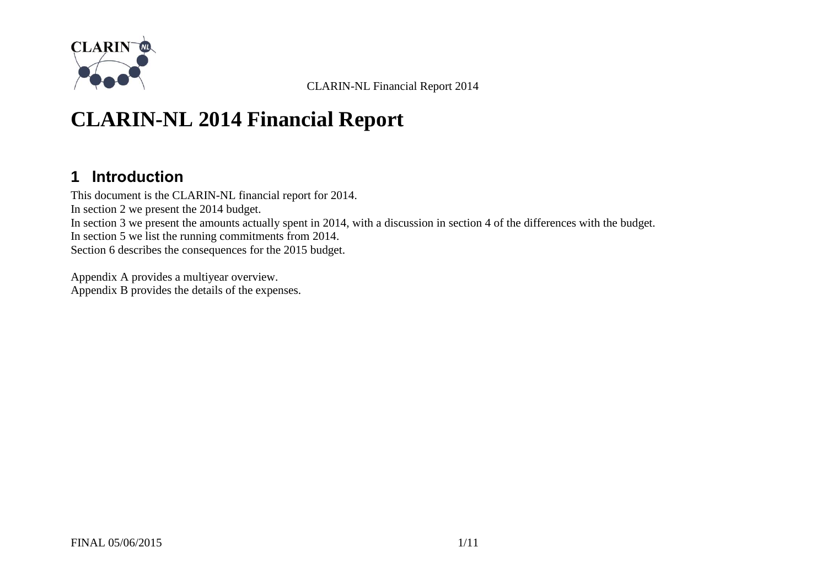

# **CLARIN-NL 2014 Financial Report**

#### **1 Introduction**

This document is the CLARIN-NL financial report for 2014. In section [2](#page-1-0) we present the 2014 budget. In section [3](#page-2-0) we present the amounts actually spent in 2014, with a discussion in section [4](#page-3-0) of the differences with the budget. In section [5](#page-5-0) we list the running commitments from 2014. Section [6](#page-8-0) describes the consequences for the 2015 budget.

[Appendix A](#page-9-0) provides a multiyear overview. [Appendix B](#page-10-0) provides the details of the expenses.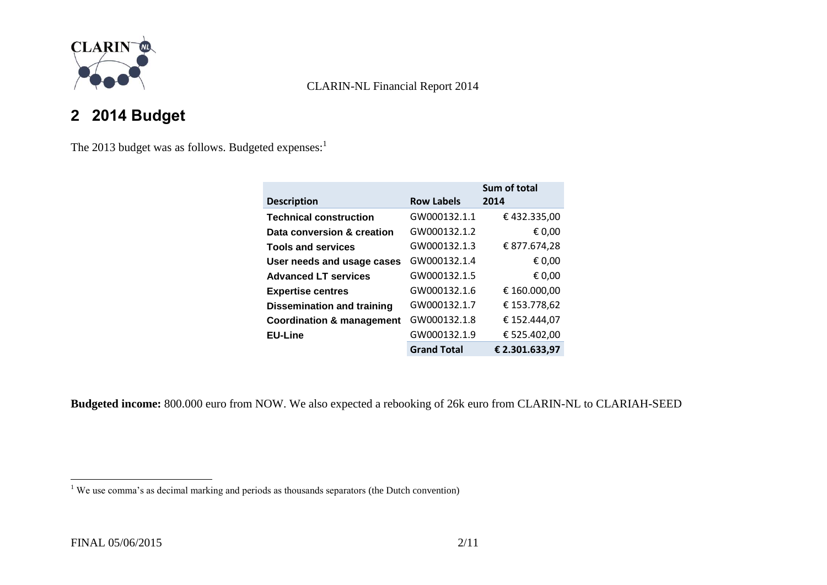

## <span id="page-1-0"></span>**2 2014 Budget**

The 2013 budget was as follows. Budgeted expenses:<sup>1</sup>

|                                      |                    | Sum of total   |
|--------------------------------------|--------------------|----------------|
| <b>Description</b>                   | <b>Row Labels</b>  | 2014           |
| <b>Technical construction</b>        | GW000132.1.1       | €432.335,00    |
| Data conversion & creation           | GW000132.1.2       | € 0,00         |
| <b>Tools and services</b>            | GW000132.1.3       | € 877.674,28   |
| User needs and usage cases           | GW000132.1.4       | € 0,00         |
| <b>Advanced LT services</b>          | GW000132.1.5       | € 0,00         |
| <b>Expertise centres</b>             | GW000132.1.6       | € 160.000,00   |
| <b>Dissemination and training</b>    | GW000132.1.7       | € 153.778,62   |
| <b>Coordination &amp; management</b> | GW000132.1.8       | € 152.444,07   |
| <b>EU-Line</b>                       | GW000132.1.9       | € 525.402,00   |
|                                      | <b>Grand Total</b> | € 2.301.633,97 |

**Budgeted income:** 800.000 euro from NOW. We also expected a rebooking of 26k euro from CLARIN-NL to CLARIAH-SEED

 $\overline{a}$ 

 $1$  We use comma's as decimal marking and periods as thousands separators (the Dutch convention)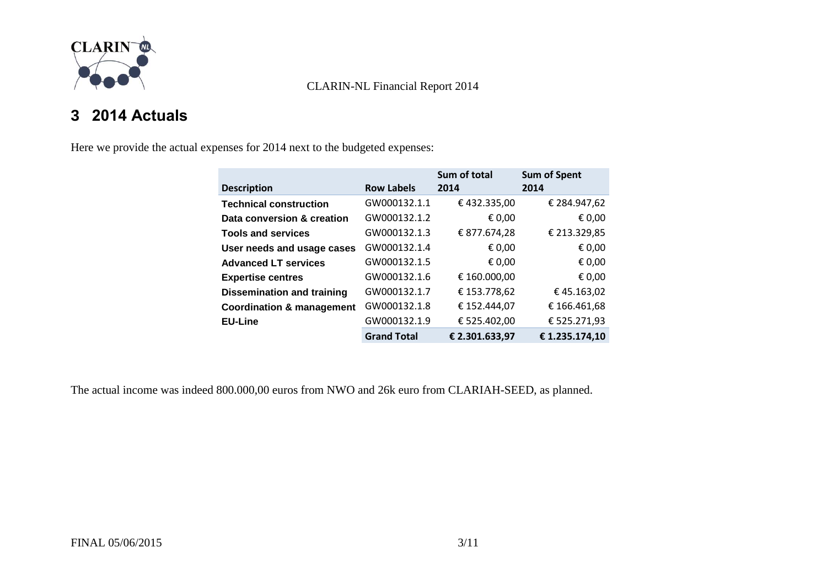

### <span id="page-2-0"></span>**3 2014 Actuals**

Here we provide the actual expenses for 2014 next to the budgeted expenses:

|                                      |                    | Sum of total   | <b>Sum of Spent</b> |
|--------------------------------------|--------------------|----------------|---------------------|
| <b>Description</b>                   | <b>Row Labels</b>  | 2014           | 2014                |
| <b>Technical construction</b>        | GW000132.1.1       | €432.335,00    | € 284.947,62        |
| Data conversion & creation           | GW000132.1.2       | € 0,00         | € 0,00              |
| <b>Tools and services</b>            | GW000132.1.3       | € 877.674,28   | € 213.329,85        |
| User needs and usage cases           | GW000132.1.4       | € 0,00         | € 0,00              |
| <b>Advanced LT services</b>          | GW000132.1.5       | € 0,00         | € 0,00              |
| <b>Expertise centres</b>             | GW000132.1.6       | € 160.000,00   | € 0,00              |
| <b>Dissemination and training</b>    | GW000132.1.7       | € 153.778,62   | €45.163,02          |
| <b>Coordination &amp; management</b> | GW000132.1.8       | € 152.444,07   | €166.461,68         |
| <b>EU-Line</b>                       | GW000132.1.9       | € 525.402,00   | € 525.271,93        |
|                                      | <b>Grand Total</b> | € 2.301.633,97 | € 1.235.174,10      |

The actual income was indeed 800.000,00 euros from NWO and 26k euro from CLARIAH-SEED, as planned.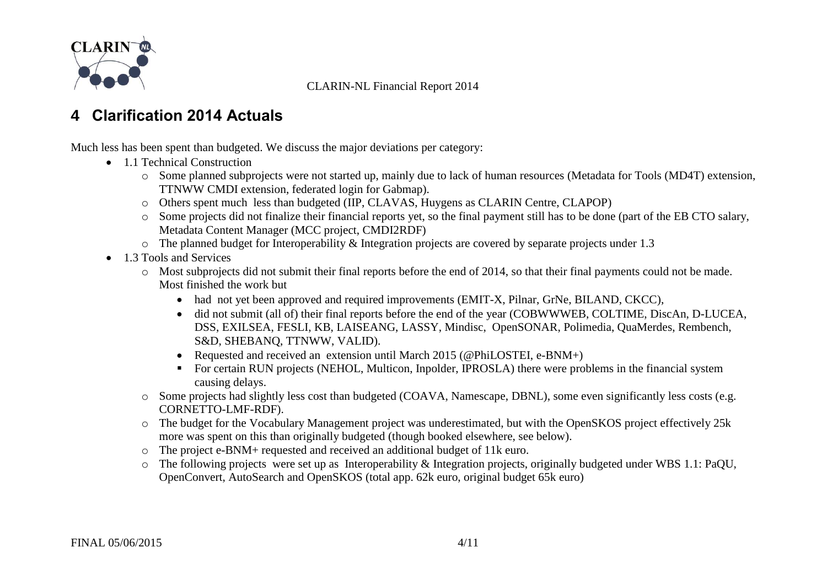

#### <span id="page-3-0"></span>**4 Clarification 2014 Actuals**

Much less has been spent than budgeted. We discuss the major deviations per category:

- 1.1 Technical Construction
	- o Some planned subprojects were not started up, mainly due to lack of human resources (Metadata for Tools (MD4T) extension, TTNWW CMDI extension, federated login for Gabmap).
	- o Others spent much less than budgeted (IIP, CLAVAS, Huygens as CLARIN Centre, CLAPOP)
	- o Some projects did not finalize their financial reports yet, so the final payment still has to be done (part of the EB CTO salary, Metadata Content Manager (MCC project, CMDI2RDF)
	- o The planned budget for Interoperability & Integration projects are covered by separate projects under 1.3
- 1.3 Tools and Services
	- $\circ$  Most subprojects did not submit their final reports before the end of 2014, so that their final payments could not be made. Most finished the work but
		- had not yet been approved and required improvements (EMIT-X, Pilnar, GrNe, BILAND, CKCC),
		- did not submit (all of) their final reports before the end of the year (COBWWWEB, COLTIME, DiscAn, D-LUCEA, DSS, EXILSEA, FESLI, KB, LAISEANG, LASSY, Mindisc, OpenSONAR, Polimedia, QuaMerdes, Rembench, S&D, SHEBANQ, TTNWW, VALID).
		- Requested and received an extension until March 2015 (@PhiLOSTEI, e-BNM+)
		- For certain RUN projects (NEHOL, Multicon, Inpolder, IPROSLA) there were problems in the financial system causing delays.
	- o Some projects had slightly less cost than budgeted (COAVA, Namescape, DBNL), some even significantly less costs (e.g. CORNETTO-LMF-RDF).
	- o The budget for the Vocabulary Management project was underestimated, but with the OpenSKOS project effectively 25k more was spent on this than originally budgeted (though booked elsewhere, see below).
	- o The project e-BNM+ requested and received an additional budget of 11k euro.
	- o The following projects were set up as Interoperability & Integration projects, originally budgeted under WBS 1.1: PaQU, OpenConvert, AutoSearch and OpenSKOS (total app. 62k euro, original budget 65k euro)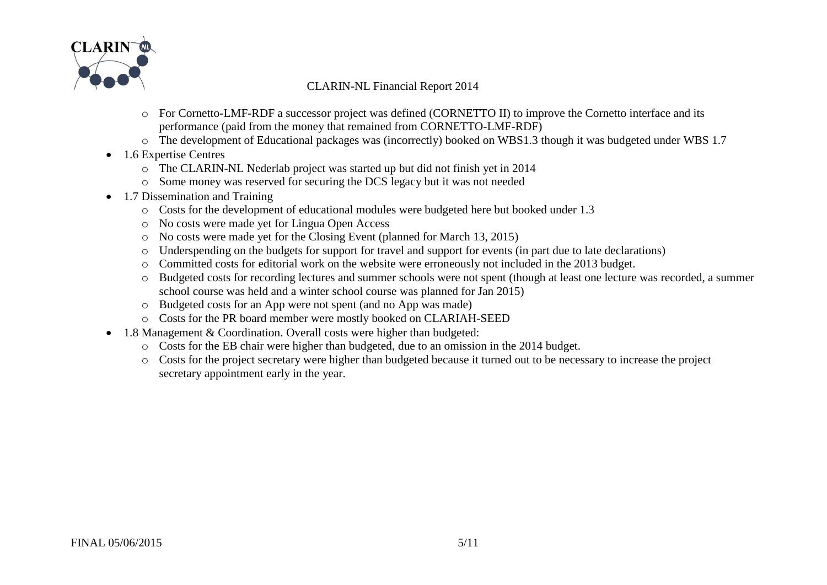

- o For Cornetto-LMF-RDF a successor project was defined (CORNETTO II) to improve the Cornetto interface and its performance (paid from the money that remained from CORNETTO-LMF-RDF)
- o The development of Educational packages was (incorrectly) booked on WBS1.3 though it was budgeted under WBS 1.7
- 1.6 Expertise Centres
	- o The CLARIN-NL Nederlab project was started up but did not finish yet in 2014
	- o Some money was reserved for securing the DCS legacy but it was not needed
- 1.7 Dissemination and Training
	- o Costs for the development of educational modules were budgeted here but booked under 1.3
	- o No costs were made yet for Lingua Open Access
	- o No costs were made yet for the Closing Event (planned for March 13, 2015)
	- o Underspending on the budgets for support for travel and support for events (in part due to late declarations)
	- o Committed costs for editorial work on the website were erroneously not included in the 2013 budget.
	- o Budgeted costs for recording lectures and summer schools were not spent (though at least one lecture was recorded, a summer school course was held and a winter school course was planned for Jan 2015)
	- o Budgeted costs for an App were not spent (and no App was made)
	- o Costs for the PR board member were mostly booked on CLARIAH-SEED
- 1.8 Management & Coordination. Overall costs were higher than budgeted:
	- o Costs for the EB chair were higher than budgeted, due to an omission in the 2014 budget.
	- o Costs for the project secretary were higher than budgeted because it turned out to be necessary to increase the project secretary appointment early in the year.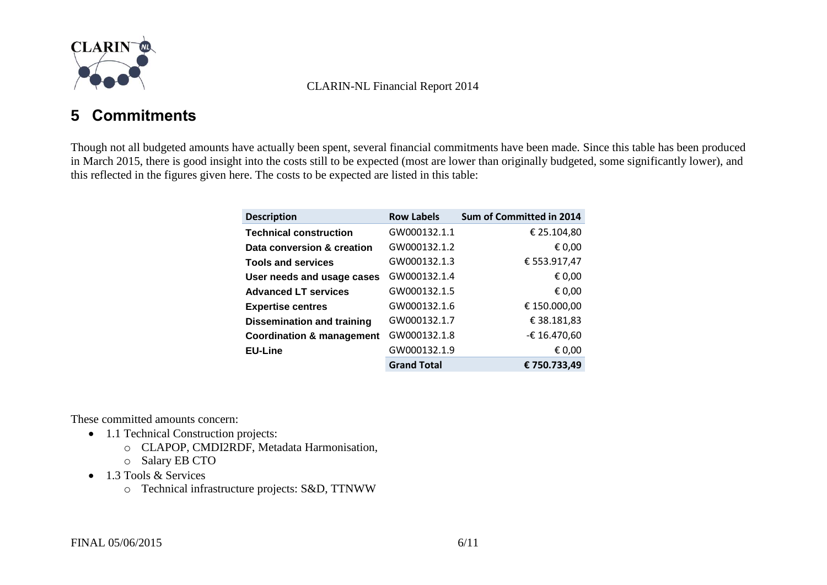

#### <span id="page-5-0"></span>**5 Commitments**

Though not all budgeted amounts have actually been spent, several financial commitments have been made. Since this table has been produced in March 2015, there is good insight into the costs still to be expected (most are lower than originally budgeted, some significantly lower), and this reflected in the figures given here. The costs to be expected are listed in this table:

| <b>Description</b>                   | <b>Row Labels</b>  | Sum of Committed in 2014 |
|--------------------------------------|--------------------|--------------------------|
| <b>Technical construction</b>        | GW000132.1.1       | € 25.104,80              |
| Data conversion & creation           | GW000132.1.2       | € 0,00                   |
| <b>Tools and services</b>            | GW000132.1.3       | € 553.917,47             |
| User needs and usage cases           | GW000132.1.4       | € 0,00                   |
| <b>Advanced LT services</b>          | GW000132.1.5       | € 0,00                   |
| <b>Expertise centres</b>             | GW000132.1.6       | € 150.000,00             |
| <b>Dissemination and training</b>    | GW000132.1.7       | € 38.181,83              |
| <b>Coordination &amp; management</b> | GW000132.1.8       | -€ 16.470,60             |
| <b>EU-Line</b>                       | GW000132.1.9       | € 0,00                   |
|                                      | <b>Grand Total</b> | €750.733.49              |

These committed amounts concern:

- 1.1 Technical Construction projects:
	- o CLAPOP, CMDI2RDF, Metadata Harmonisation,
	- o Salary EB CTO
- 1.3 Tools & Services
	- o Technical infrastructure projects: S&D, TTNWW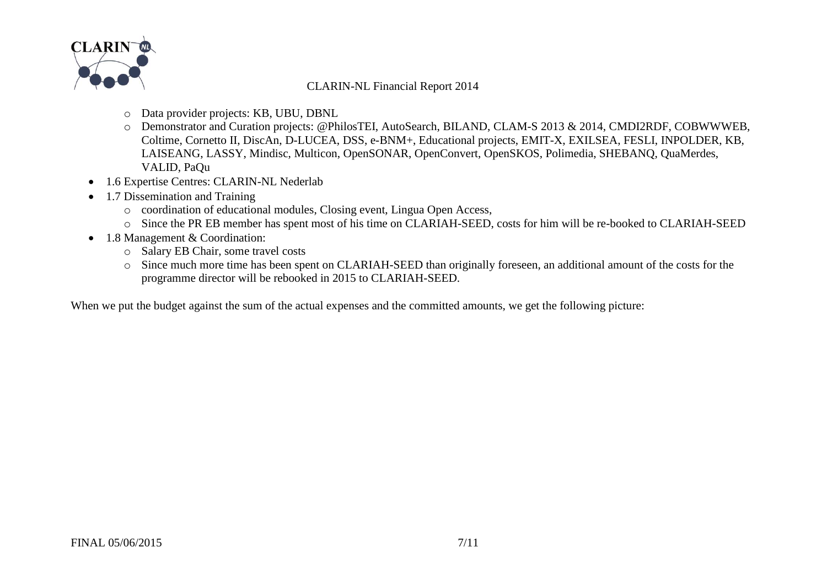

- o Data provider projects: KB, UBU, DBNL
- o Demonstrator and Curation projects: @PhilosTEI, AutoSearch, BILAND, CLAM-S 2013 & 2014, CMDI2RDF, COBWWWEB, Coltime, Cornetto II, DiscAn, D-LUCEA, DSS, e-BNM+, Educational projects, EMIT-X, EXILSEA, FESLI, INPOLDER, KB, LAISEANG, LASSY, Mindisc, Multicon, OpenSONAR, OpenConvert, OpenSKOS, Polimedia, SHEBANQ, QuaMerdes, VALID, PaQu
- 1.6 Expertise Centres: CLARIN-NL Nederlab
- 1.7 Dissemination and Training
	- o coordination of educational modules, Closing event, Lingua Open Access,
	- o Since the PR EB member has spent most of his time on CLARIAH-SEED, costs for him will be re-booked to CLARIAH-SEED
- 1.8 Management & Coordination:
	- o Salary EB Chair, some travel costs
	- o Since much more time has been spent on CLARIAH-SEED than originally foreseen, an additional amount of the costs for the programme director will be rebooked in 2015 to CLARIAH-SEED.

When we put the budget against the sum of the actual expenses and the committed amounts, we get the following picture: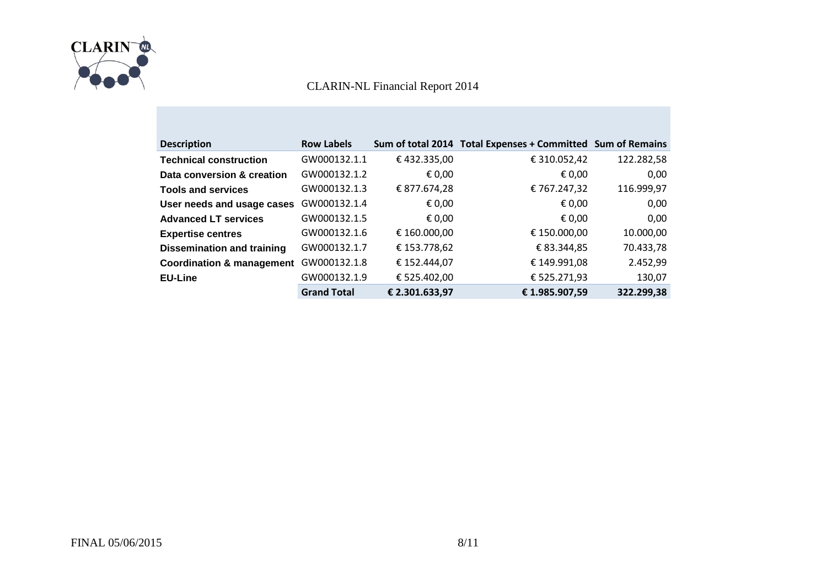

| <b>Description</b>                   | <b>Row Labels</b>  |                | Sum of total 2014 Total Expenses + Committed Sum of Remains |            |
|--------------------------------------|--------------------|----------------|-------------------------------------------------------------|------------|
| <b>Technical construction</b>        | GW000132.1.1       | €432.335,00    | € 310.052,42                                                | 122.282,58 |
| Data conversion & creation           | GW000132.1.2       | € 0,00         | € 0,00                                                      | 0,00       |
| <b>Tools and services</b>            | GW000132.1.3       | € 877.674,28   | €767.247,32                                                 | 116.999,97 |
| User needs and usage cases           | GW000132.1.4       | € 0,00         | € 0,00                                                      | 0,00       |
| <b>Advanced LT services</b>          | GW000132.1.5       | € 0,00         | € 0,00                                                      | 0,00       |
| <b>Expertise centres</b>             | GW000132.1.6       | € 160.000,00   | € 150.000,00                                                | 10.000,00  |
| <b>Dissemination and training</b>    | GW000132.1.7       | € 153.778,62   | € 83.344,85                                                 | 70.433,78  |
| <b>Coordination &amp; management</b> | GW000132.1.8       | € 152.444,07   | € 149.991,08                                                | 2.452,99   |
| <b>EU-Line</b>                       | GW000132.1.9       | € 525.402,00   | € 525.271,93                                                | 130,07     |
|                                      | <b>Grand Total</b> | € 2.301.633,97 | €1.985.907,59                                               | 322.299,38 |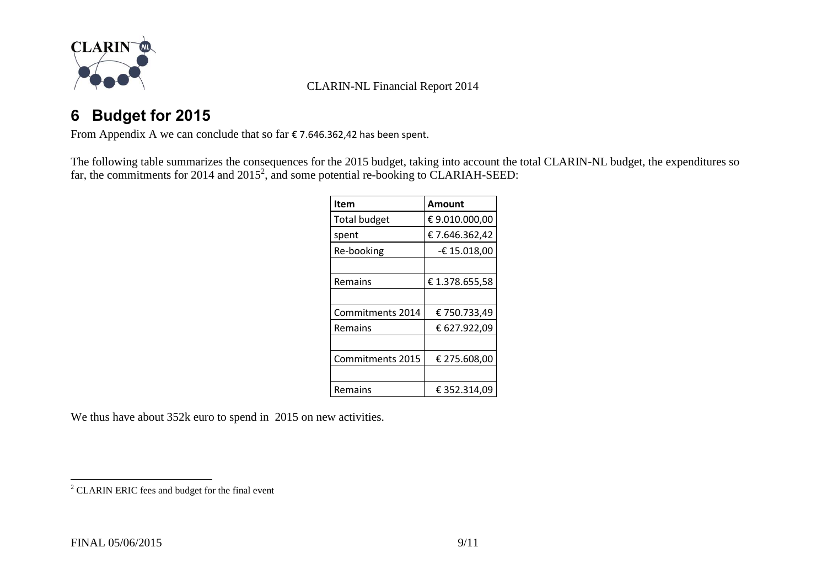

### <span id="page-8-0"></span>**6 Budget for 2015**

From [Appendix A](#page-9-0) we can conclude that so far € 7.646.362,42 has been spent.

The following table summarizes the consequences for the 2015 budget, taking into account the total CLARIN-NL budget, the expenditures so far, the commitments for 2014 and 2015<sup>2</sup>, and some potential re-booking to CLARIAH-SEED:

| Item                | Amount         |
|---------------------|----------------|
| <b>Total budget</b> | €9.010.000,00  |
| spent               | € 7.646.362,42 |
| Re-booking          | -€ 15.018,00   |
|                     |                |
| Remains             | € 1.378.655,58 |
|                     |                |
| Commitments 2014    | € 750.733,49   |
| Remains             | € 627.922,09   |
|                     |                |
| Commitments 2015    | € 275.608,00   |
|                     |                |
| Remains             | € 352.314,09   |

We thus have about  $352k$  euro to spend in 2015 on new activities.

 $\overline{a}$  $2^2$  CLARIN ERIC fees and budget for the final event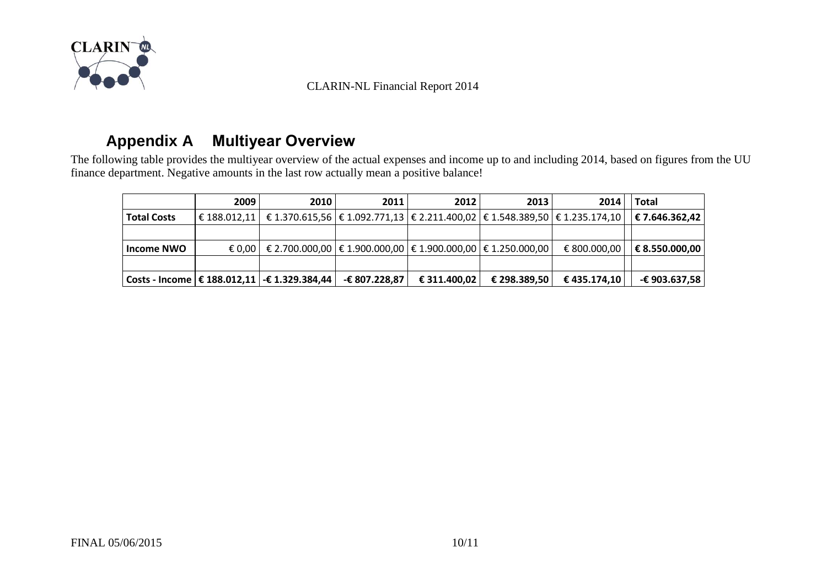

### **Appendix A Multiyear Overview**

<span id="page-9-0"></span>The following table provides the multiyear overview of the actual expenses and income up to and including 2014, based on figures from the UU finance department. Negative amounts in the last row actually mean a positive balance!

|                    | 2009             | 2010                                                                       | 2011          | 2012         | 2013         | 2014                                                                                       | Total          |
|--------------------|------------------|----------------------------------------------------------------------------|---------------|--------------|--------------|--------------------------------------------------------------------------------------------|----------------|
| <b>Total Costs</b> | $\in$ 188.012.11 |                                                                            |               |              |              | € 1.370.615,56 $\in$ 1.092.771,13 $\in$ 2.211.400,02 $\in$ 1.548.389,50 $\in$ 1.235.174,10 | € 7.646.362,42 |
|                    |                  |                                                                            |               |              |              |                                                                                            |                |
| Income NWO         |                  | € 0,00   € 2.700.000,00   € 1.900.000,00   € 1.900.000,00   € 1.250.000,00 |               |              |              | € 800.000,00                                                                               | € 8.550.000,00 |
|                    |                  |                                                                            |               |              |              |                                                                                            |                |
|                    |                  | Costs - Income $\in$ 188.012,11   -€ 1.329.384,44                          | -€ 807.228,87 | € 311.400,02 | € 298.389,50 | € 435.174,10                                                                               | -€ 903.637,58  |